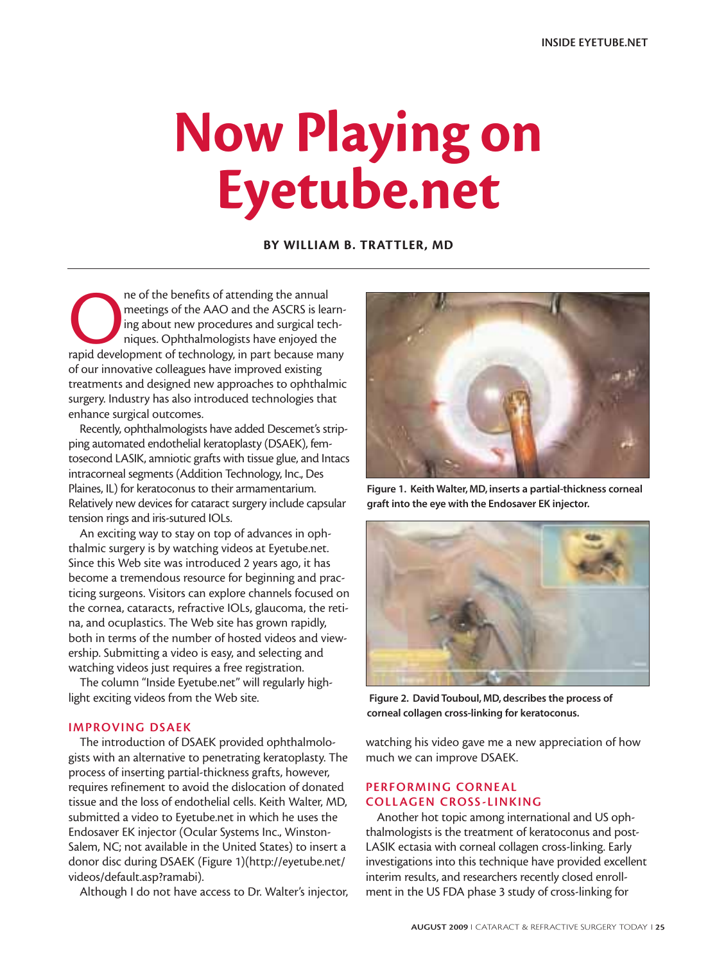# **Now Playing on Eyetube.net**

**BY WILLIAM B. TRATTLER, MD**

re of the benefits of attending the annual<br>meetings of the AAO and the ASCRS is learn<br>ing about new procedures and surgical tech-<br>niques. Ophthalmologists have enjoyed the<br>rapid development of technology, in part because m meetings of the AAO and the ASCRS is learning about new procedures and surgical techniques. Ophthalmologists have enjoyed the of our innovative colleagues have improved existing treatments and designed new approaches to ophthalmic surgery. Industry has also introduced technologies that enhance surgical outcomes.

Recently, ophthalmologists have added Descemet's stripping automated endothelial keratoplasty (DSAEK), femtosecond LASIK, amniotic grafts with tissue glue, and Intacs intracorneal segments (Addition Technology, Inc., Des Plaines, IL) for keratoconus to their armamentarium. Relatively new devices for cataract surgery include capsular tension rings and iris-sutured IOLs.

An exciting way to stay on top of advances in ophthalmic surgery is by watching videos at Eyetube.net. Since this Web site was introduced 2 years ago, it has become a tremendous resource for beginning and practicing surgeons. Visitors can explore channels focused on the cornea, cataracts, refractive IOLs, glaucoma, the retina, and ocuplastics. The Web site has grown rapidly, both in terms of the number of hosted videos and viewership. Submitting a video is easy, and selecting and watching videos just requires a free registration.

The column "Inside Eyetube.net" will regularly highlight exciting videos from the Web site.

#### **IMPROVING DSAEK**

The introduction of DSAEK provided ophthalmologists with an alternative to penetrating keratoplasty. The process of inserting partial-thickness grafts, however, requires refinement to avoid the dislocation of donated tissue and the loss of endothelial cells. Keith Walter, MD, submitted a video to Eyetube.net in which he uses the Endosaver EK injector (Ocular Systems Inc., Winston-Salem, NC; not available in the United States) to insert a donor disc during DSAEK (Figure 1)(http://eyetube.net/ videos/default.asp?ramabi).

Although I do not have access to Dr. Walter's injector,



**Figure 1. Keith Walter, MD, inserts a partial-thickness corneal graft into the eye with the Endosaver EK injector.**



**Figure 2. David Touboul, MD, describes the process of corneal collagen cross-linking for keratoconus.**

watching his video gave me a new appreciation of how much we can improve DSAEK.

## **PERFORMING CORNEAL COLLAGEN CROSS-LINKING**

Another hot topic among international and US ophthalmologists is the treatment of keratoconus and post-LASIK ectasia with corneal collagen cross-linking. Early investigations into this technique have provided excellent interim results, and researchers recently closed enrollment in the US FDA phase 3 study of cross-linking for